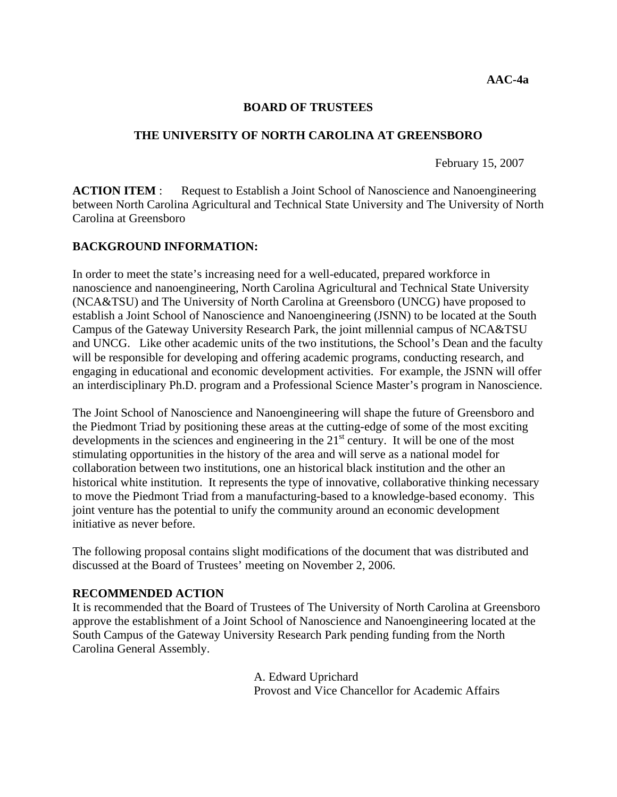### **BOARD OF TRUSTEES**

### **THE UNIVERSITY OF NORTH CAROLINA AT GREENSBORO**

February 15, 2007

**ACTION ITEM** : Request to Establish a Joint School of Nanoscience and Nanoengineering between North Carolina Agricultural and Technical State University and The University of North Carolina at Greensboro

## **BACKGROUND INFORMATION:**

In order to meet the state's increasing need for a well-educated, prepared workforce in nanoscience and nanoengineering, North Carolina Agricultural and Technical State University (NCA&TSU) and The University of North Carolina at Greensboro (UNCG) have proposed to establish a Joint School of Nanoscience and Nanoengineering (JSNN) to be located at the South Campus of the Gateway University Research Park, the joint millennial campus of NCA&TSU and UNCG. Like other academic units of the two institutions, the School's Dean and the faculty will be responsible for developing and offering academic programs, conducting research, and engaging in educational and economic development activities. For example, the JSNN will offer an interdisciplinary Ph.D. program and a Professional Science Master's program in Nanoscience.

The Joint School of Nanoscience and Nanoengineering will shape the future of Greensboro and the Piedmont Triad by positioning these areas at the cutting-edge of some of the most exciting developments in the sciences and engineering in the 21<sup>st</sup> century. It will be one of the most stimulating opportunities in the history of the area and will serve as a national model for collaboration between two institutions, one an historical black institution and the other an historical white institution. It represents the type of innovative, collaborative thinking necessary to move the Piedmont Triad from a manufacturing-based to a knowledge-based economy. This joint venture has the potential to unify the community around an economic development initiative as never before.

The following proposal contains slight modifications of the document that was distributed and discussed at the Board of Trustees' meeting on November 2, 2006.

#### **RECOMMENDED ACTION**

It is recommended that the Board of Trustees of The University of North Carolina at Greensboro approve the establishment of a Joint School of Nanoscience and Nanoengineering located at the South Campus of the Gateway University Research Park pending funding from the North Carolina General Assembly.

> A. Edward Uprichard Provost and Vice Chancellor for Academic Affairs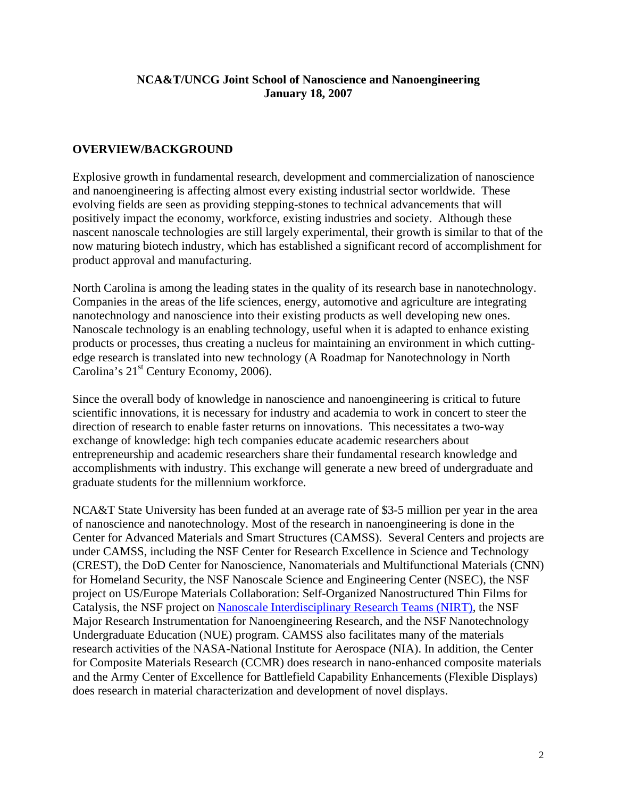## **NCA&T/UNCG Joint School of Nanoscience and Nanoengineering January 18, 2007**

## **OVERVIEW/BACKGROUND**

Explosive growth in fundamental research, development and commercialization of nanoscience and nanoengineering is affecting almost every existing industrial sector worldwide. These evolving fields are seen as providing stepping-stones to technical advancements that will positively impact the economy, workforce, existing industries and society. Although these nascent nanoscale technologies are still largely experimental, their growth is similar to that of the now maturing biotech industry, which has established a significant record of accomplishment for product approval and manufacturing.

North Carolina is among the leading states in the quality of its research base in nanotechnology. Companies in the areas of the life sciences, energy, automotive and agriculture are integrating nanotechnology and nanoscience into their existing products as well developing new ones. Nanoscale technology is an enabling technology, useful when it is adapted to enhance existing products or processes, thus creating a nucleus for maintaining an environment in which cuttingedge research is translated into new technology (A Roadmap for Nanotechnology in North Carolina's  $21<sup>st</sup>$  Century Economy, 2006).

Since the overall body of knowledge in nanoscience and nanoengineering is critical to future scientific innovations, it is necessary for industry and academia to work in concert to steer the direction of research to enable faster returns on innovations. This necessitates a two-way exchange of knowledge: high tech companies educate academic researchers about entrepreneurship and academic researchers share their fundamental research knowledge and accomplishments with industry. This exchange will generate a new breed of undergraduate and graduate students for the millennium workforce.

NCA&T State University has been funded at an average rate of \$3-5 million per year in the area of nanoscience and nanotechnology. Most of the research in nanoengineering is done in the Center for Advanced Materials and Smart Structures (CAMSS). Several Centers and projects are under CAMSS, including the NSF Center for Research Excellence in Science and Technology (CREST), the DoD Center for Nanoscience, Nanomaterials and Multifunctional Materials (CNN) for Homeland Security, the NSF Nanoscale Science and Engineering Center (NSEC), the NSF project on US/Europe Materials Collaboration: Self-Organized Nanostructured Thin Films for Catalysis, the NSF project on [Nanoscale Interdisciplinary Research Teams \(NIRT\)](http://www.nsf.gov/pubsys/ods/getpub.cfm?nsf03043), the NSF Major Research Instrumentation for Nanoengineering Research, and the NSF [Nanotechnology](http://www.nsf.gov/pubs/2006/nsf06538/nsf06538.htm)  [Undergraduate Education \(NUE\)](http://www.nsf.gov/pubs/2006/nsf06538/nsf06538.htm) program. CAMSS also facilitates many of the materials research activities of the NASA-National Institute for Aerospace (NIA). In addition, the Center for Composite Materials Research (CCMR) does research in nano-enhanced composite materials and the Army Center of Excellence for Battlefield Capability Enhancements (Flexible Displays) does research in material characterization and development of novel displays.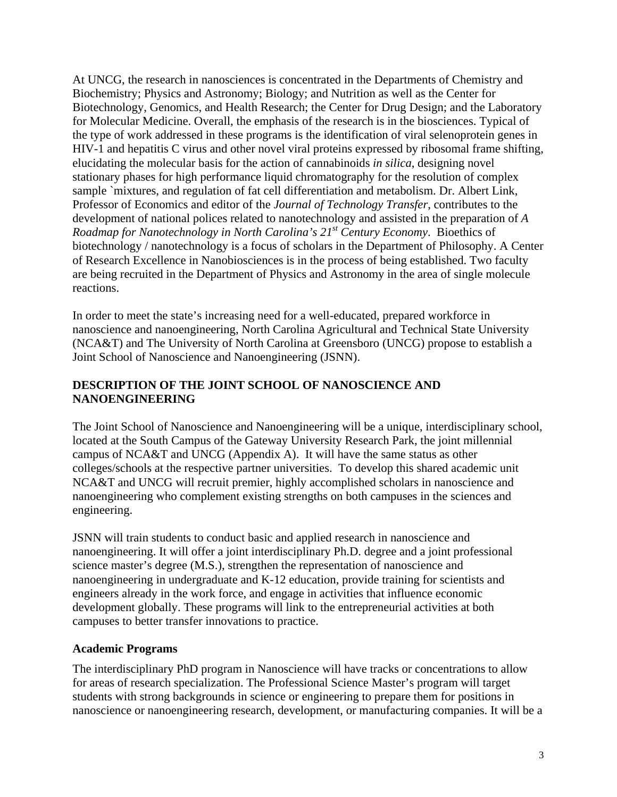At UNCG, the research in nanosciences is concentrated in the Departments of Chemistry and Biochemistry; Physics and Astronomy; Biology; and Nutrition as well as the Center for Biotechnology, Genomics, and Health Research; the Center for Drug Design; and the Laboratory for Molecular Medicine. Overall, the emphasis of the research is in the biosciences. Typical of the type of work addressed in these programs is the identification of viral selenoprotein genes in HIV-1 and hepatitis C virus and other novel viral proteins expressed by ribosomal frame shifting, elucidating the molecular basis for the action of cannabinoids *in silica*, designing novel stationary phases for high performance liquid chromatography for the resolution of complex sample `mixtures, and regulation of fat cell differentiation and metabolism. Dr. Albert Link, Professor of Economics and editor of the *Journal of Technology Transfer*, contributes to the development of national polices related to nanotechnology and assisted in the preparation of *A Roadmap for Nanotechnology in North Carolina's 21st Century Economy*. Bioethics of biotechnology / nanotechnology is a focus of scholars in the Department of Philosophy. A Center of Research Excellence in Nanobiosciences is in the process of being established. Two faculty are being recruited in the Department of Physics and Astronomy in the area of single molecule reactions.

In order to meet the state's increasing need for a well-educated, prepared workforce in nanoscience and nanoengineering, North Carolina Agricultural and Technical State University (NCA&T) and The University of North Carolina at Greensboro (UNCG) propose to establish a Joint School of Nanoscience and Nanoengineering (JSNN).

# **DESCRIPTION OF THE JOINT SCHOOL OF NANOSCIENCE AND NANOENGINEERING**

The Joint School of Nanoscience and Nanoengineering will be a unique, interdisciplinary school, located at the South Campus of the Gateway University Research Park, the joint millennial campus of NCA&T and UNCG (Appendix A). It will have the same status as other colleges/schools at the respective partner universities. To develop this shared academic unit NCA&T and UNCG will recruit premier, highly accomplished scholars in nanoscience and nanoengineering who complement existing strengths on both campuses in the sciences and engineering.

JSNN will train students to conduct basic and applied research in nanoscience and nanoengineering. It will offer a joint interdisciplinary Ph.D. degree and a joint professional science master's degree (M.S.), strengthen the representation of nanoscience and nanoengineering in undergraduate and K-12 education, provide training for scientists and engineers already in the work force, and engage in activities that influence economic development globally. These programs will link to the entrepreneurial activities at both campuses to better transfer innovations to practice.

# **Academic Programs**

The interdisciplinary PhD program in Nanoscience will have tracks or concentrations to allow for areas of research specialization. The Professional Science Master's program will target students with strong backgrounds in science or engineering to prepare them for positions in nanoscience or nanoengineering research, development, or manufacturing companies. It will be a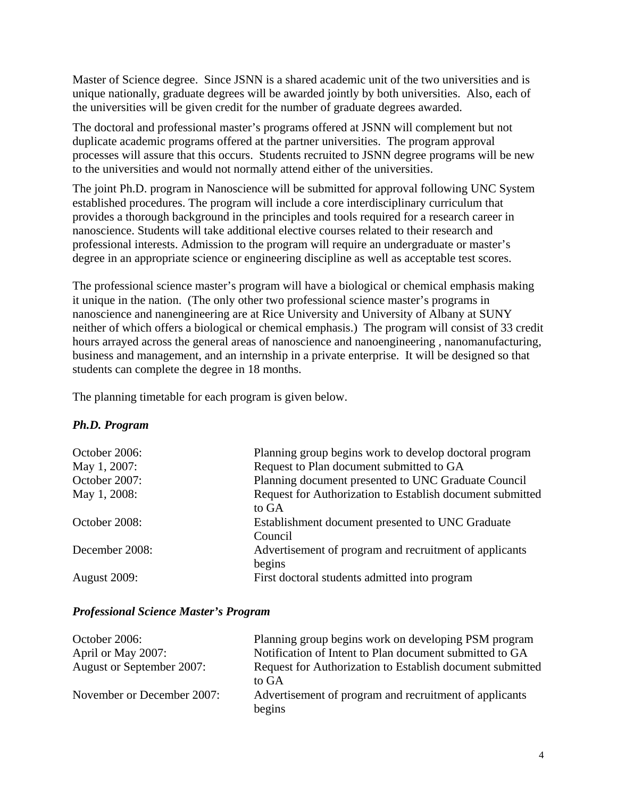Master of Science degree. Since JSNN is a shared academic unit of the two universities and is unique nationally, graduate degrees will be awarded jointly by both universities. Also, each of the universities will be given credit for the number of graduate degrees awarded.

The doctoral and professional master's programs offered at JSNN will complement but not duplicate academic programs offered at the partner universities. The program approval processes will assure that this occurs. Students recruited to JSNN degree programs will be new to the universities and would not normally attend either of the universities.

The joint Ph.D. program in Nanoscience will be submitted for approval following UNC System established procedures. The program will include a core interdisciplinary curriculum that provides a thorough background in the principles and tools required for a research career in nanoscience. Students will take additional elective courses related to their research and professional interests. Admission to the program will require an undergraduate or master's degree in an appropriate science or engineering discipline as well as acceptable test scores.

The professional science master's program will have a biological or chemical emphasis making it unique in the nation. (The only other two professional science master's programs in nanoscience and nanengineering are at Rice University and University of Albany at SUNY neither of which offers a biological or chemical emphasis.) The program will consist of 33 credit hours arrayed across the general areas of nanoscience and nanoengineering , nanomanufacturing, business and management, and an internship in a private enterprise. It will be designed so that students can complete the degree in 18 months.

The planning timetable for each program is given below.

### *Ph.D. Program*

| October 2006:       | Planning group begins work to develop doctoral program             |
|---------------------|--------------------------------------------------------------------|
| May 1, 2007:        | Request to Plan document submitted to GA                           |
| October 2007:       | Planning document presented to UNC Graduate Council                |
| May 1, 2008:        | Request for Authorization to Establish document submitted<br>to GA |
| October 2008:       | Establishment document presented to UNC Graduate<br>Council        |
| December 2008:      | Advertisement of program and recruitment of applicants<br>begins   |
| <b>August 2009:</b> | First doctoral students admitted into program                      |

#### *Professional Science Master's Program*

| October 2006:              | Planning group begins work on developing PSM program               |
|----------------------------|--------------------------------------------------------------------|
| April or May 2007:         | Notification of Intent to Plan document submitted to GA            |
| August or September 2007:  | Request for Authorization to Establish document submitted<br>to GA |
| November or December 2007: | Advertisement of program and recruitment of applicants<br>begins   |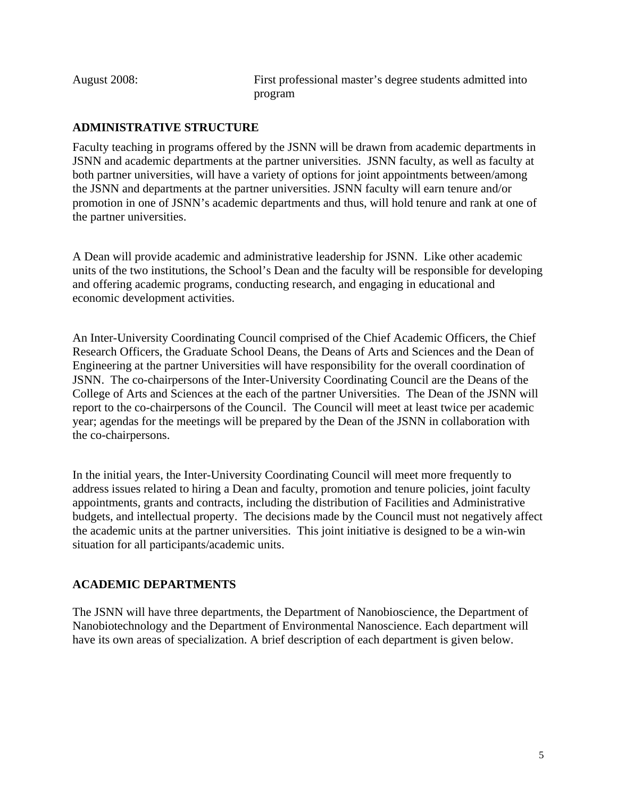August 2008: First professional master's degree students admitted into program

# **ADMINISTRATIVE STRUCTURE**

Faculty teaching in programs offered by the JSNN will be drawn from academic departments in JSNN and academic departments at the partner universities. JSNN faculty, as well as faculty at both partner universities, will have a variety of options for joint appointments between/among the JSNN and departments at the partner universities. JSNN faculty will earn tenure and/or promotion in one of JSNN's academic departments and thus, will hold tenure and rank at one of the partner universities.

A Dean will provide academic and administrative leadership for JSNN. Like other academic units of the two institutions, the School's Dean and the faculty will be responsible for developing and offering academic programs, conducting research, and engaging in educational and economic development activities.

An Inter-University Coordinating Council comprised of the Chief Academic Officers, the Chief Research Officers, the Graduate School Deans, the Deans of Arts and Sciences and the Dean of Engineering at the partner Universities will have responsibility for the overall coordination of JSNN. The co-chairpersons of the Inter-University Coordinating Council are the Deans of the College of Arts and Sciences at the each of the partner Universities. The Dean of the JSNN will report to the co-chairpersons of the Council. The Council will meet at least twice per academic year; agendas for the meetings will be prepared by the Dean of the JSNN in collaboration with the co-chairpersons.

In the initial years, the Inter-University Coordinating Council will meet more frequently to address issues related to hiring a Dean and faculty, promotion and tenure policies, joint faculty appointments, grants and contracts, including the distribution of Facilities and Administrative budgets, and intellectual property. The decisions made by the Council must not negatively affect the academic units at the partner universities. This joint initiative is designed to be a win-win situation for all participants/academic units.

# **ACADEMIC DEPARTMENTS**

The JSNN will have three departments, the Department of Nanobioscience, the Department of Nanobiotechnology and the Department of Environmental Nanoscience. Each department will have its own areas of specialization. A brief description of each department is given below.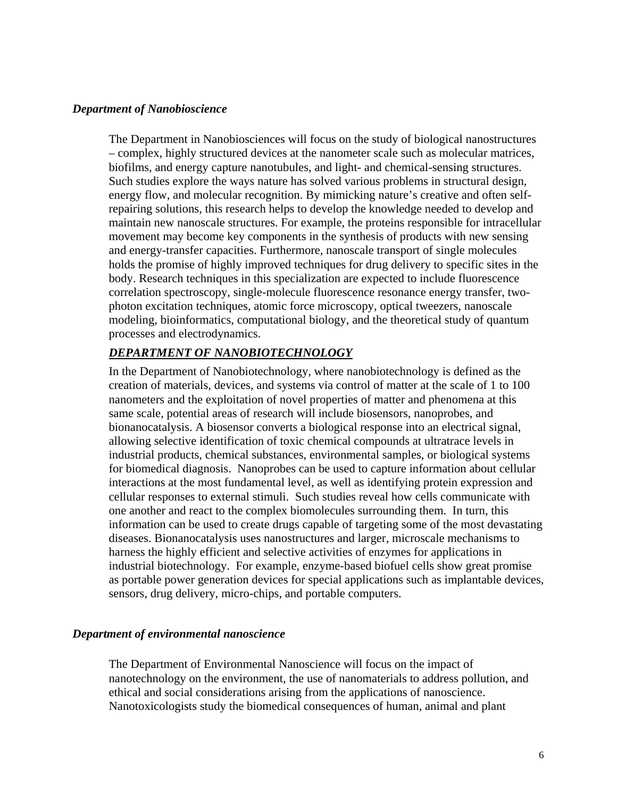#### *Department of Nanobioscience*

The Department in Nanobiosciences will focus on the study of biological nanostructures – complex, highly structured devices at the nanometer scale such as molecular matrices, biofilms, and energy capture nanotubules, and light- and chemical-sensing structures. Such studies explore the ways nature has solved various problems in structural design, energy flow, and molecular recognition. By mimicking nature's creative and often selfrepairing solutions, this research helps to develop the knowledge needed to develop and maintain new nanoscale structures. For example, the proteins responsible for intracellular movement may become key components in the synthesis of products with new sensing and energy-transfer capacities. Furthermore, nanoscale transport of single molecules holds the promise of highly improved techniques for drug delivery to specific sites in the body. Research techniques in this specialization are expected to include fluorescence correlation spectroscopy, single-molecule fluorescence resonance energy transfer, twophoton excitation techniques, atomic force microscopy, optical tweezers, nanoscale modeling, bioinformatics, computational biology, and the theoretical study of quantum processes and electrodynamics.

## *DEPARTMENT OF NANOBIOTECHNOLOGY*

In the Department of Nanobiotechnology, where nanobiotechnology is defined as the creation of materials, devices, and systems via control of matter at the scale of 1 to 100 nanometers and the exploitation of novel properties of matter and phenomena at this same scale, potential areas of research will include biosensors, nanoprobes, and bionanocatalysis. A biosensor converts a biological response into an electrical signal, allowing selective identification of toxic chemical compounds at ultratrace levels in industrial products, chemical substances, environmental samples, or biological systems for biomedical diagnosis. Nanoprobes can be used to capture information about cellular interactions at the most fundamental level, as well as identifying protein expression and cellular responses to external stimuli. Such studies reveal how cells communicate with one another and react to the complex biomolecules surrounding them. In turn, this information can be used to create drugs capable of targeting some of the most devastating diseases. Bionanocatalysis uses nanostructures and larger, microscale mechanisms to harness the highly efficient and selective activities of enzymes for applications in industrial biotechnology. For example, enzyme-based biofuel cells show great promise as portable power generation devices for special applications such as implantable devices, sensors, drug delivery, micro-chips, and portable computers.

#### *Department of environmental nanoscience*

The Department of Environmental Nanoscience will focus on the impact of nanotechnology on the environment, the use of nanomaterials to address pollution, and ethical and social considerations arising from the applications of nanoscience. Nanotoxicologists study the biomedical consequences of human, animal and plant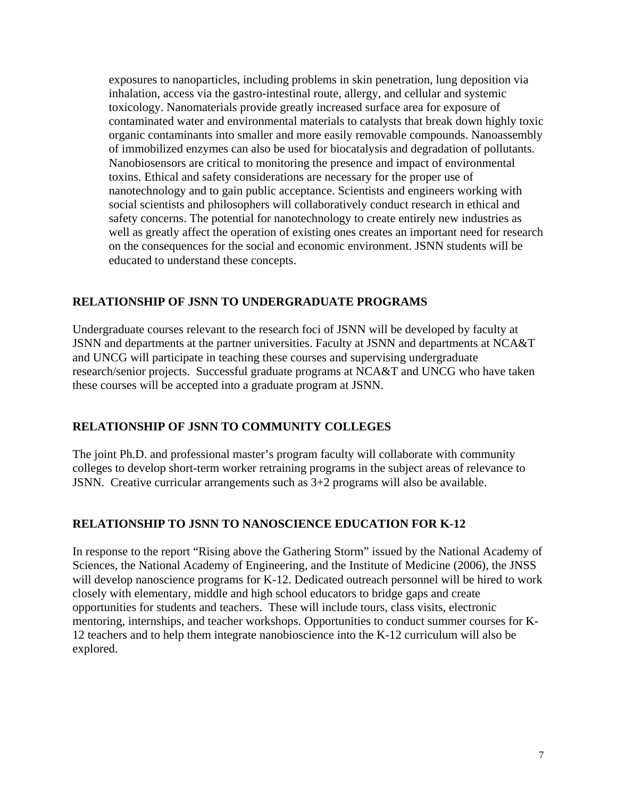exposures to nanoparticles, including problems in skin penetration, lung deposition via inhalation, access via the gastro-intestinal route, allergy, and cellular and systemic toxicology. Nanomaterials provide greatly increased surface area for exposure of contaminated water and environmental materials to catalysts that break down highly toxic organic contaminants into smaller and more easily removable compounds. Nanoassembly of immobilized enzymes can also be used for biocatalysis and degradation of pollutants. Nanobiosensors are critical to monitoring the presence and impact of environmental toxins. Ethical and safety considerations are necessary for the proper use of nanotechnology and to gain public acceptance. Scientists and engineers working with social scientists and philosophers will collaboratively conduct research in ethical and safety concerns. The potential for nanotechnology to create entirely new industries as well as greatly affect the operation of existing ones creates an important need for research on the consequences for the social and economic environment. JSNN students will be educated to understand these concepts.

# **RELATIONSHIP OF JSNN TO UNDERGRADUATE PROGRAMS**

Undergraduate courses relevant to the research foci of JSNN will be developed by faculty at JSNN and departments at the partner universities. Faculty at JSNN and departments at NCA&T and UNCG will participate in teaching these courses and supervising undergraduate research/senior projects. Successful graduate programs at NCA&T and UNCG who have taken these courses will be accepted into a graduate program at JSNN.

# **RELATIONSHIP OF JSNN TO COMMUNITY COLLEGES**

The joint Ph.D. and professional master's program faculty will collaborate with community colleges to develop short-term worker retraining programs in the subject areas of relevance to JSNN. Creative curricular arrangements such as 3+2 programs will also be available.

# **RELATIONSHIP TO JSNN TO NANOSCIENCE EDUCATION FOR K-12**

In response to the report "Rising above the Gathering Storm" issued by the National Academy of Sciences, the National Academy of Engineering, and the Institute of Medicine (2006), the JNSS will develop nanoscience programs for K-12. Dedicated outreach personnel will be hired to work closely with elementary, middle and high school educators to bridge gaps and create opportunities for students and teachers. These will include tours, class visits, electronic mentoring, internships, and teacher workshops. Opportunities to conduct summer courses for K-12 teachers and to help them integrate nanobioscience into the K-12 curriculum will also be explored.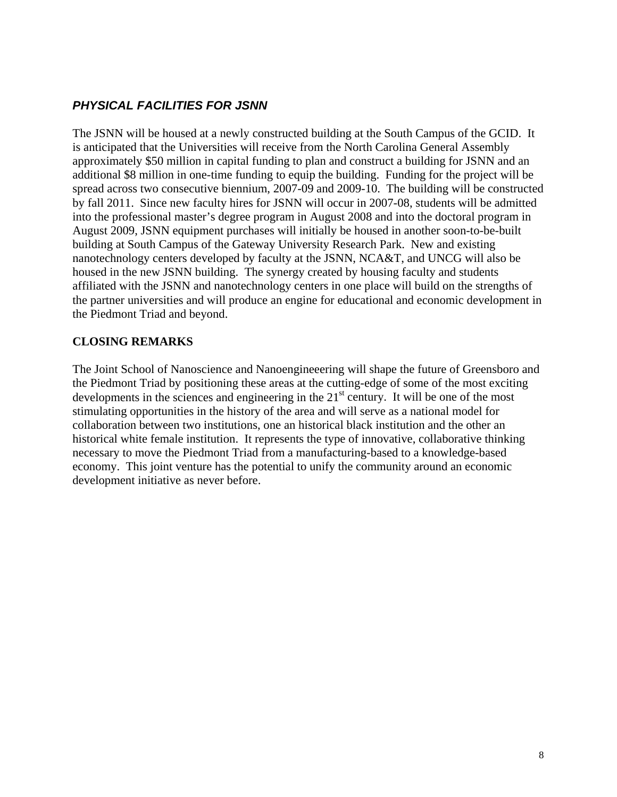# *PHYSICAL FACILITIES FOR JSNN*

The JSNN will be housed at a newly constructed building at the South Campus of the GCID. It is anticipated that the Universities will receive from the North Carolina General Assembly approximately \$50 million in capital funding to plan and construct a building for JSNN and an additional \$8 million in one-time funding to equip the building. Funding for the project will be spread across two consecutive biennium, 2007-09 and 2009-10. The building will be constructed by fall 2011. Since new faculty hires for JSNN will occur in 2007-08, students will be admitted into the professional master's degree program in August 2008 and into the doctoral program in August 2009, JSNN equipment purchases will initially be housed in another soon-to-be-built building at South Campus of the Gateway University Research Park. New and existing nanotechnology centers developed by faculty at the JSNN, NCA&T, and UNCG will also be housed in the new JSNN building. The synergy created by housing faculty and students affiliated with the JSNN and nanotechnology centers in one place will build on the strengths of the partner universities and will produce an engine for educational and economic development in the Piedmont Triad and beyond.

# **CLOSING REMARKS**

The Joint School of Nanoscience and Nanoengineeering will shape the future of Greensboro and the Piedmont Triad by positioning these areas at the cutting-edge of some of the most exciting developments in the sciences and engineering in the 21<sup>st</sup> century. It will be one of the most stimulating opportunities in the history of the area and will serve as a national model for collaboration between two institutions, one an historical black institution and the other an historical white female institution. It represents the type of innovative, collaborative thinking necessary to move the Piedmont Triad from a manufacturing-based to a knowledge-based economy. This joint venture has the potential to unify the community around an economic development initiative as never before.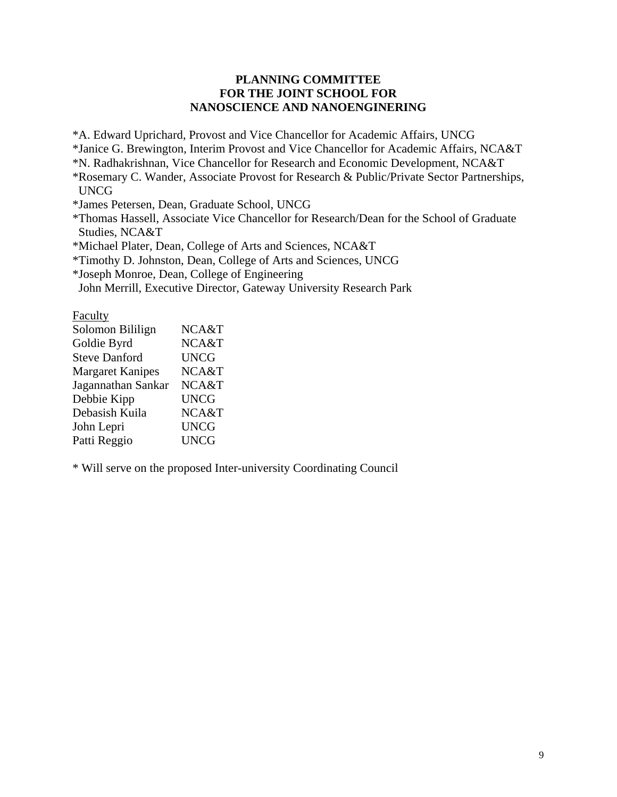### **PLANNING COMMITTEE FOR THE JOINT SCHOOL FOR NANOSCIENCE AND NANOENGINERING**

\*A. Edward Uprichard, Provost and Vice Chancellor for Academic Affairs, UNCG

\*Janice G. Brewington, Interim Provost and Vice Chancellor for Academic Affairs, NCA&T

- \*N. Radhakrishnan, Vice Chancellor for Research and Economic Development, NCA&T
- \*Rosemary C. Wander, Associate Provost for Research & Public/Private Sector Partnerships, UNCG
- \*James Petersen, Dean, Graduate School, UNCG
- \*Thomas Hassell, Associate Vice Chancellor for Research/Dean for the School of Graduate Studies, NCA&T
- \*Michael Plater, Dean, College of Arts and Sciences, NCA&T
- \*Timothy D. Johnston, Dean, College of Arts and Sciences, UNCG

\*Joseph Monroe, Dean, College of Engineering

John Merrill, Executive Director, Gateway University Research Park

Faculty

| NCA&T       |
|-------------|
| NCA&T       |
| <b>UNCG</b> |
| NCA&T       |
| NCA&T       |
| <b>UNCG</b> |
| NCA&T       |
| <b>UNCG</b> |
| <b>UNCG</b> |
|             |

\* Will serve on the proposed Inter-university Coordinating Council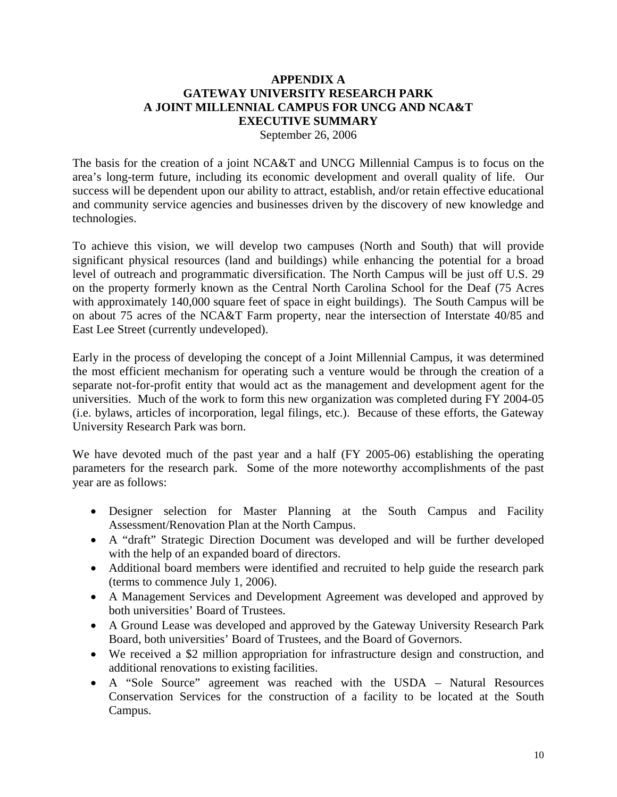## **APPENDIX A GATEWAY UNIVERSITY RESEARCH PARK A JOINT MILLENNIAL CAMPUS FOR UNCG AND NCA&T EXECUTIVE SUMMARY**  September 26, 2006

The basis for the creation of a joint NCA&T and UNCG Millennial Campus is to focus on the area's long-term future, including its economic development and overall quality of life. Our success will be dependent upon our ability to attract, establish, and/or retain effective educational and community service agencies and businesses driven by the discovery of new knowledge and technologies.

To achieve this vision, we will develop two campuses (North and South) that will provide significant physical resources (land and buildings) while enhancing the potential for a broad level of outreach and programmatic diversification. The North Campus will be just off U.S. 29 on the property formerly known as the Central North Carolina School for the Deaf (75 Acres with approximately 140,000 square feet of space in eight buildings). The South Campus will be on about 75 acres of the NCA&T Farm property, near the intersection of Interstate 40/85 and East Lee Street (currently undeveloped).

Early in the process of developing the concept of a Joint Millennial Campus, it was determined the most efficient mechanism for operating such a venture would be through the creation of a separate not-for-profit entity that would act as the management and development agent for the universities. Much of the work to form this new organization was completed during FY 2004-05 (i.e. bylaws, articles of incorporation, legal filings, etc.). Because of these efforts, the Gateway University Research Park was born.

We have devoted much of the past year and a half (FY 2005-06) establishing the operating parameters for the research park. Some of the more noteworthy accomplishments of the past year are as follows:

- Designer selection for Master Planning at the South Campus and Facility Assessment/Renovation Plan at the North Campus.
- A "draft" Strategic Direction Document was developed and will be further developed with the help of an expanded board of directors.
- Additional board members were identified and recruited to help guide the research park (terms to commence July 1, 2006).
- A Management Services and Development Agreement was developed and approved by both universities' Board of Trustees.
- A Ground Lease was developed and approved by the Gateway University Research Park Board, both universities' Board of Trustees, and the Board of Governors.
- We received a \$2 million appropriation for infrastructure design and construction, and additional renovations to existing facilities.
- A "Sole Source" agreement was reached with the USDA Natural Resources Conservation Services for the construction of a facility to be located at the South Campus.